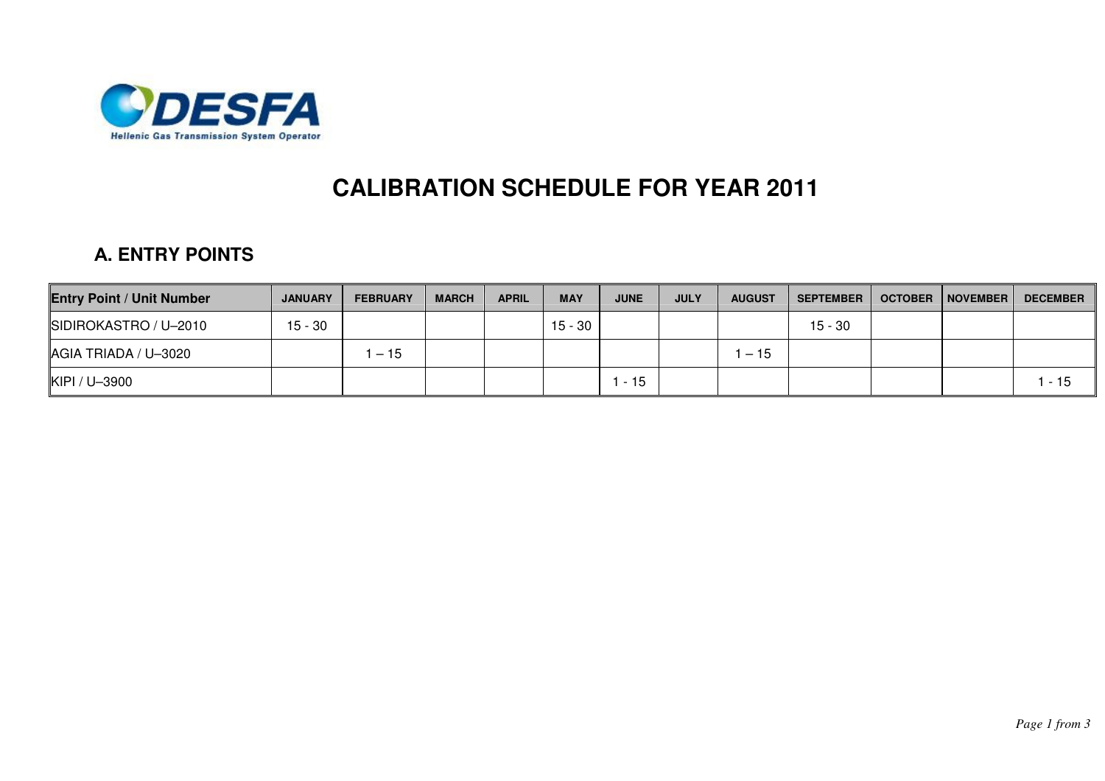

## **CALIBRATION SCHEDULE FOR YEAR 2011**

## Α**. ENTRY POINTS**

| <b>Entry Point / Unit Number</b> | <b>JANUARY</b> | <b>FEBRUARY</b> | <b>MARCH</b> | <b>APRIL</b> | <b>MAY</b> | <b>JUNE</b> | <b>JULY</b> | <b>AUGUST</b> | <b>SEPTEMBER</b> | <b>OCTOBER</b> | <b>NOVEMBER</b> | <b>DECEMBER</b> |
|----------------------------------|----------------|-----------------|--------------|--------------|------------|-------------|-------------|---------------|------------------|----------------|-----------------|-----------------|
| SIDIROKASTRO / U-2010            | $15 - 30$      |                 |              |              | 15 - 30    |             |             |               | $15 - 30$        |                |                 |                 |
| AGIA TRIADA / U-3020             |                | $-15$           |              |              |            |             |             | $-15$         |                  |                |                 |                 |
| KIPI / U-3900                    |                |                 |              |              |            | $-15$       |             |               |                  |                |                 | - 15            |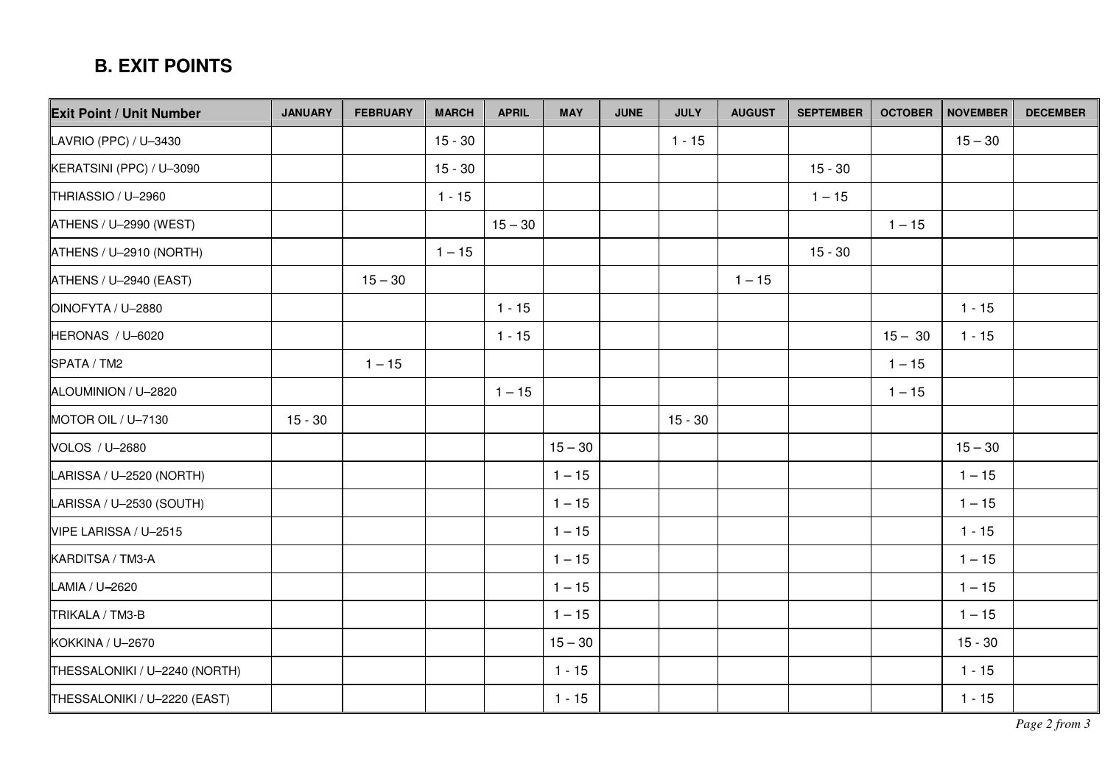## Β**. EXIT POINTS**

| <b>Exit Point / Unit Number</b> | <b>JANUARY</b> | <b>FEBRUARY</b> | <b>MARCH</b> | <b>APRIL</b> | <b>MAY</b> | <b>JUNE</b> | <b>JULY</b> | <b>AUGUST</b> | <b>SEPTEMBER</b> | <b>OCTOBER</b> | NOVEMBER  | <b>DECEMBER</b> |
|---------------------------------|----------------|-----------------|--------------|--------------|------------|-------------|-------------|---------------|------------------|----------------|-----------|-----------------|
| LAVRIO (PPC) / U-3430           |                |                 | $15 - 30$    |              |            |             | $1 - 15$    |               |                  |                | $15 - 30$ |                 |
| KERATSINI (PPC) / U-3090        |                |                 | $15 - 30$    |              |            |             |             |               | $15 - 30$        |                |           |                 |
| THRIASSIO / U-2960              |                |                 | $1 - 15$     |              |            |             |             |               | $1 - 15$         |                |           |                 |
| ATHENS / U-2990 (WEST)          |                |                 |              | $15 - 30$    |            |             |             |               |                  | $1 - 15$       |           |                 |
| ATHENS / U-2910 (NORTH)         |                |                 | $1 - 15$     |              |            |             |             |               | $15 - 30$        |                |           |                 |
| $ATHENS / U-2940 (EAST)$        |                | $15 - 30$       |              |              |            |             |             | $1 - 15$      |                  |                |           |                 |
| OINOFYTA / U-2880               |                |                 |              | $1 - 15$     |            |             |             |               |                  |                | $1 - 15$  |                 |
| HERONAS / U-6020                |                |                 |              | $1 - 15$     |            |             |             |               |                  | $15 - 30$      | $1 - 15$  |                 |
| SPATA / TM2                     |                | $1 - 15$        |              |              |            |             |             |               |                  | $1 - 15$       |           |                 |
| ALOUMINION / U-2820             |                |                 |              | $1 - 15$     |            |             |             |               |                  | $1 - 15$       |           |                 |
| MOTOR OIL / U-7130              | $15 - 30$      |                 |              |              |            |             | $15 - 30$   |               |                  |                |           |                 |
| VOLOS / U-2680                  |                |                 |              |              | $15 - 30$  |             |             |               |                  |                | $15 - 30$ |                 |
| LARISSA / U-2520 (NORTH)        |                |                 |              |              | $1 - 15$   |             |             |               |                  |                | $1 - 15$  |                 |
| LARISSA / U-2530 (SOUTH)        |                |                 |              |              | $1 - 15$   |             |             |               |                  |                | $1 - 15$  |                 |
| VIPE LARISSA / U-2515           |                |                 |              |              | $1 - 15$   |             |             |               |                  |                | $1 - 15$  |                 |
| KARDITSA / TM3-A                |                |                 |              |              | $1 - 15$   |             |             |               |                  |                | $1 - 15$  |                 |
| LAMIA / U-2620                  |                |                 |              |              | $1 - 15$   |             |             |               |                  |                | $1 - 15$  |                 |
| TRIKALA / TM3-B                 |                |                 |              |              | $1 - 15$   |             |             |               |                  |                | $1 - 15$  |                 |
| KOKKINA / U-2670                |                |                 |              |              | $15 - 30$  |             |             |               |                  |                | $15 - 30$ |                 |
| THESSALONIKI / U-2240 (NORTH)   |                |                 |              |              | $1 - 15$   |             |             |               |                  |                | $1 - 15$  |                 |
| THESSALONIKI / U-2220 (EAST)    |                |                 |              |              | $1 - 15$   |             |             |               |                  |                | $1 - 15$  |                 |